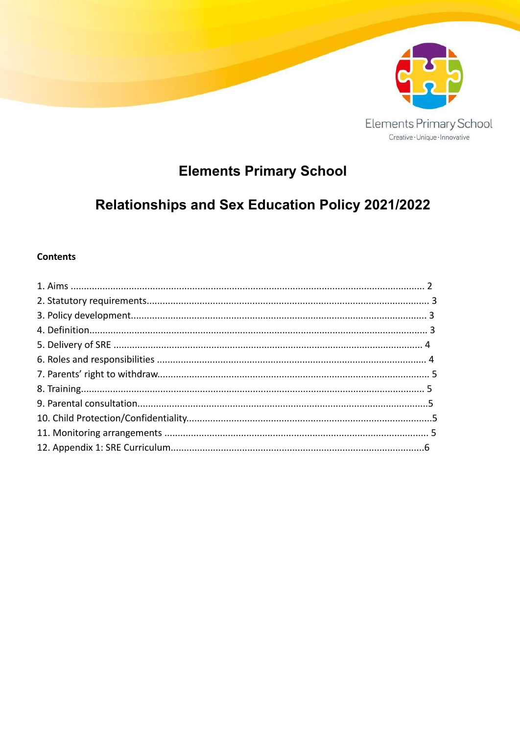

Creative · Unique · Innovative

# **Elements Primary School**

# Relationships and Sex Education Policy 2021/2022

# **Contents**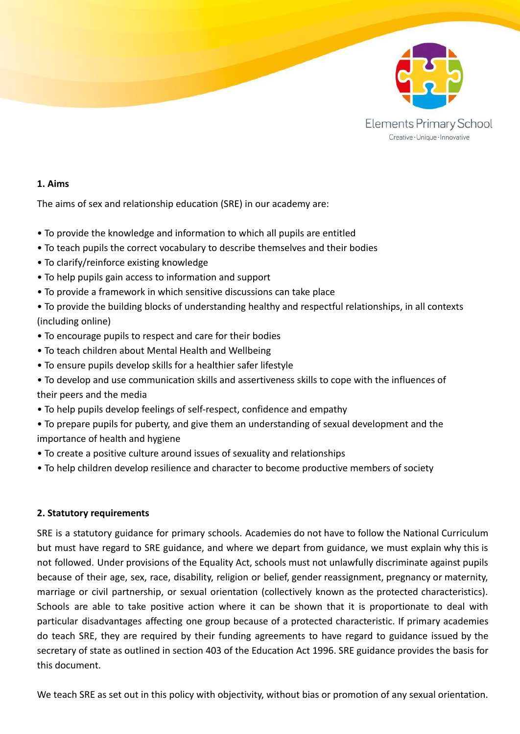

# **1. Aims**

The aims of sex and relationship education (SRE) in our academy are:

- To provide the knowledge and information to which all pupils are entitled
- To teach pupils the correct vocabulary to describe themselves and their bodies
- To clarify/reinforce existing knowledge
- To help pupils gain access to information and support
- To provide a framework in which sensitive discussions can take place
- To provide the building blocks of understanding healthy and respectful relationships, in all contexts (including online)
- To encourage pupils to respect and care for their bodies
- To teach children about Mental Health and Wellbeing
- To ensure pupils develop skills for a healthier safer lifestyle
- To develop and use communication skills and assertiveness skills to cope with the influences of their peers and the media
- To help pupils develop feelings of self-respect, confidence and empathy
- To prepare pupils for puberty, and give them an understanding of sexual development and the importance of health and hygiene
- To create a positive culture around issues of sexuality and relationships
- To help children develop resilience and character to become productive members of society

# **2. Statutory requirements**

SRE is a statutory guidance for primary schools. Academies do not have to follow the National Curriculum but must have regard to SRE guidance, and where we depart from guidance, we must explain why this is not followed. Under provisions of the Equality Act, schools must not unlawfully discriminate against pupils because of their age, sex, race, disability, religion or belief, gender reassignment, pregnancy or maternity, marriage or civil partnership, or sexual orientation (collectively known as the protected characteristics). Schools are able to take positive action where it can be shown that it is proportionate to deal with particular disadvantages affecting one group because of a protected characteristic. If primary academies do teach SRE, they are required by their funding agreements to have regard to guidance issued by the secretary of state as outlined in section 403 of the Education Act 1996. SRE guidance provides the basis for this document.

We teach SRE as set out in this policy with objectivity, without bias or promotion of any sexual orientation.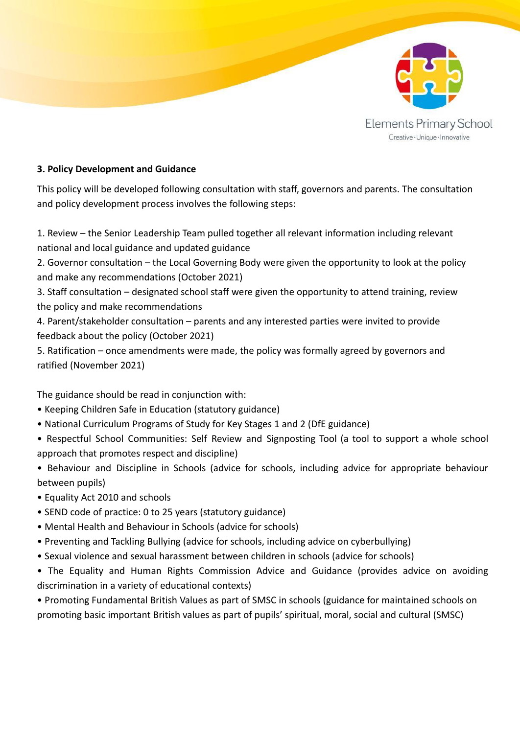

# **3. Policy Development and Guidance**

This policy will be developed following consultation with staff, governors and parents. The consultation and policy development process involves the following steps:

1. Review – the Senior Leadership Team pulled together all relevant information including relevant national and local guidance and updated guidance

2. Governor consultation – the Local Governing Body were given the opportunity to look at the policy and make any recommendations (October 2021)

3. Staff consultation – designated school staff were given the opportunity to attend training, review the policy and make recommendations

4. Parent/stakeholder consultation – parents and any interested parties were invited to provide feedback about the policy (October 2021)

5. Ratification – once amendments were made, the policy was formally agreed by governors and ratified (November 2021)

The guidance should be read in conjunction with:

- Keeping Children Safe in Education (statutory guidance)
- National Curriculum Programs of Study for Key Stages 1 and 2 (DfE guidance)
- Respectful School Communities: Self Review and Signposting Tool (a tool to support a whole school approach that promotes respect and discipline)
- Behaviour and Discipline in Schools (advice for schools, including advice for appropriate behaviour between pupils)
- Equality Act 2010 and schools
- SEND code of practice: 0 to 25 years (statutory guidance)
- Mental Health and Behaviour in Schools (advice for schools)
- Preventing and Tackling Bullying (advice for schools, including advice on cyberbullying)
- Sexual violence and sexual harassment between children in schools (advice for schools)

• The Equality and Human Rights Commission Advice and Guidance (provides advice on avoiding discrimination in a variety of educational contexts)

• Promoting Fundamental British Values as part of SMSC in schools (guidance for maintained schools on promoting basic important British values as part of pupils' spiritual, moral, social and cultural (SMSC)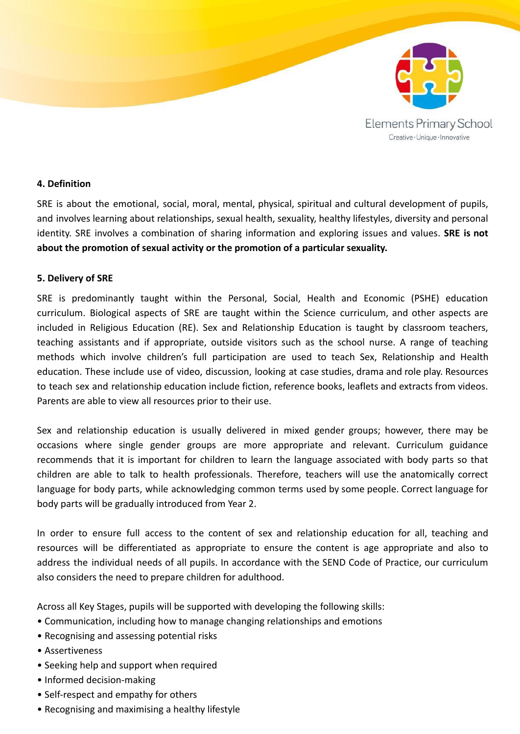

#### **4. Definition**

SRE is about the emotional, social, moral, mental, physical, spiritual and cultural development of pupils, and involves learning about relationships, sexual health, sexuality, healthy lifestyles, diversity and personal identity. SRE involves a combination of sharing information and exploring issues and values. **SRE is not about the promotion of sexual activity or the promotion of a particular sexuality.**

#### **5. Delivery of SRE**

SRE is predominantly taught within the Personal, Social, Health and Economic (PSHE) education curriculum. Biological aspects of SRE are taught within the Science curriculum, and other aspects are included in Religious Education (RE). Sex and Relationship Education is taught by classroom teachers, teaching assistants and if appropriate, outside visitors such as the school nurse. A range of teaching methods which involve children's full participation are used to teach Sex, Relationship and Health education. These include use of video, discussion, looking at case studies, drama and role play. Resources to teach sex and relationship education include fiction, reference books, leaflets and extracts from videos. Parents are able to view all resources prior to their use.

Sex and relationship education is usually delivered in mixed gender groups; however, there may be occasions where single gender groups are more appropriate and relevant. Curriculum guidance recommends that it is important for children to learn the language associated with body parts so that children are able to talk to health professionals. Therefore, teachers will use the anatomically correct language for body parts, while acknowledging common terms used by some people. Correct language for body parts will be gradually introduced from Year 2.

In order to ensure full access to the content of sex and relationship education for all, teaching and resources will be differentiated as appropriate to ensure the content is age appropriate and also to address the individual needs of all pupils. In accordance with the SEND Code of Practice, our curriculum also considers the need to prepare children for adulthood.

Across all Key Stages, pupils will be supported with developing the following skills:

- Communication, including how to manage changing relationships and emotions
- Recognising and assessing potential risks
- Assertiveness
- Seeking help and support when required
- Informed decision-making
- Self-respect and empathy for others
- Recognising and maximising a healthy lifestyle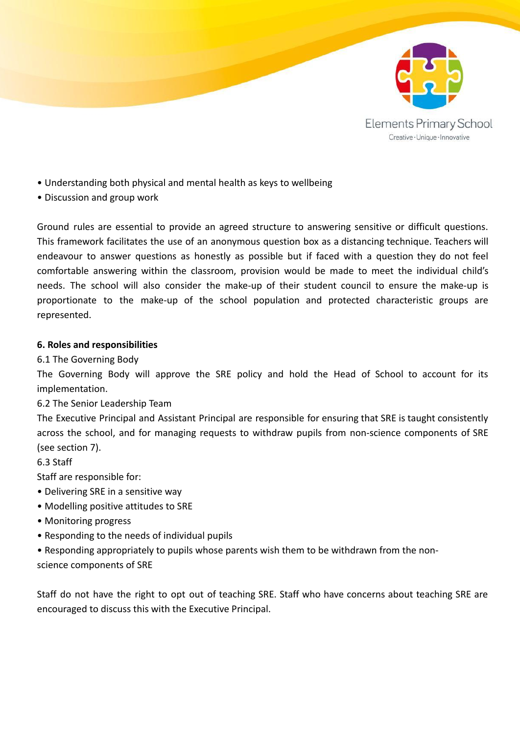

Creative · Unique · Innovative

• Understanding both physical and mental health as keys to wellbeing

• Discussion and group work

Ground rules are essential to provide an agreed structure to answering sensitive or difficult questions. This framework facilitates the use of an anonymous question box as a distancing technique. Teachers will endeavour to answer questions as honestly as possible but if faced with a question they do not feel comfortable answering within the classroom, provision would be made to meet the individual child's needs. The school will also consider the make-up of their student council to ensure the make-up is proportionate to the make-up of the school population and protected characteristic groups are represented.

#### **6. Roles and responsibilities**

6.1 The Governing Body

The Governing Body will approve the SRE policy and hold the Head of School to account for its implementation.

6.2 The Senior Leadership Team

The Executive Principal and Assistant Principal are responsible for ensuring that SRE is taught consistently across the school, and for managing requests to withdraw pupils from non-science components of SRE (see section 7).

6.3 Staff

Staff are responsible for:

- Delivering SRE in a sensitive way
- Modelling positive attitudes to SRE
- Monitoring progress
- Responding to the needs of individual pupils

• Responding appropriately to pupils whose parents wish them to be withdrawn from the non-

science components of SRE

Staff do not have the right to opt out of teaching SRE. Staff who have concerns about teaching SRE are encouraged to discuss this with the Executive Principal.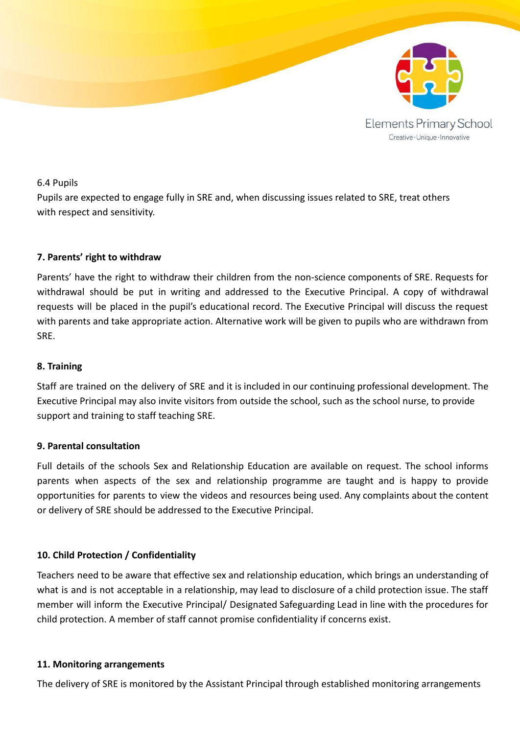

# 6.4 Pupils

Pupils are expected to engage fully in SRE and, when discussing issues related to SRE, treat others with respect and sensitivity.

# **7. Parents' right to withdraw**

Parents' have the right to withdraw their children from the non-science components of SRE. Requests for withdrawal should be put in writing and addressed to the Executive Principal. A copy of withdrawal requests will be placed in the pupil's educational record. The Executive Principal will discuss the request with parents and take appropriate action. Alternative work will be given to pupils who are withdrawn from SRE.

#### **8. Training**

Staff are trained on the delivery of SRE and it is included in our continuing professional development. The Executive Principal may also invite visitors from outside the school, such as the school nurse, to provide support and training to staff teaching SRE.

#### **9. Parental consultation**

Full details of the schools Sex and Relationship Education are available on request. The school informs parents when aspects of the sex and relationship programme are taught and is happy to provide opportunities for parents to view the videos and resources being used. Any complaints about the content or delivery of SRE should be addressed to the Executive Principal.

# **10. Child Protection / Confidentiality**

Teachers need to be aware that effective sex and relationship education, which brings an understanding of what is and is not acceptable in a relationship, may lead to disclosure of a child protection issue. The staff member will inform the Executive Principal/ Designated Safeguarding Lead in line with the procedures for child protection. A member of staff cannot promise confidentiality if concerns exist.

#### **11. Monitoring arrangements**

The delivery of SRE is monitored by the Assistant Principal through established monitoring arrangements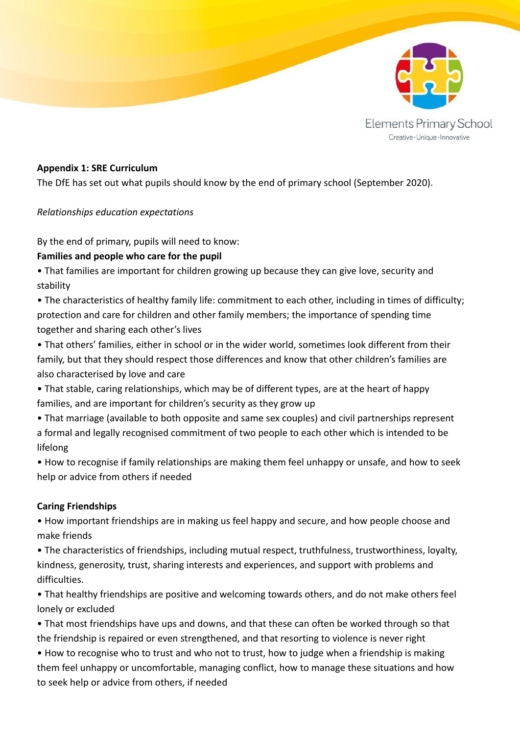

# **Appendix 1: SRE Curriculum**

The DfE has set out what pupils should know by the end of primary school (September 2020).

# *Relationships education expectations*

By the end of primary, pupils will need to know:

# **Families and people who care for the pupil**

• That families are important for children growing up because they can give love, security and stability

• The characteristics of healthy family life: commitment to each other, including in times of difficulty; protection and care for children and other family members; the importance of spending time together and sharing each other's lives

• That others' families, either in school or in the wider world, sometimes look different from their family, but that they should respect those differences and know that other children's families are also characterised by love and care

• That stable, caring relationships, which may be of different types, are at the heart of happy families, and are important for children's security as they grow up

• That marriage (available to both opposite and same sex couples) and civil partnerships represent a formal and legally recognised commitment of two people to each other which is intended to be lifelong

• How to recognise if family relationships are making them feel unhappy or unsafe, and how to seek help or advice from others if needed

# **Caring Friendships**

• How important friendships are in making us feel happy and secure, and how people choose and make friends

• The characteristics of friendships, including mutual respect, truthfulness, trustworthiness, loyalty, kindness, generosity, trust, sharing interests and experiences, and support with problems and difficulties.

• That healthy friendships are positive and welcoming towards others, and do not make others feel lonely or excluded

• That most friendships have ups and downs, and that these can often be worked through so that the friendship is repaired or even strengthened, and that resorting to violence is never right

• How to recognise who to trust and who not to trust, how to judge when a friendship is making them feel unhappy or uncomfortable, managing conflict, how to manage these situations and how to seek help or advice from others, if needed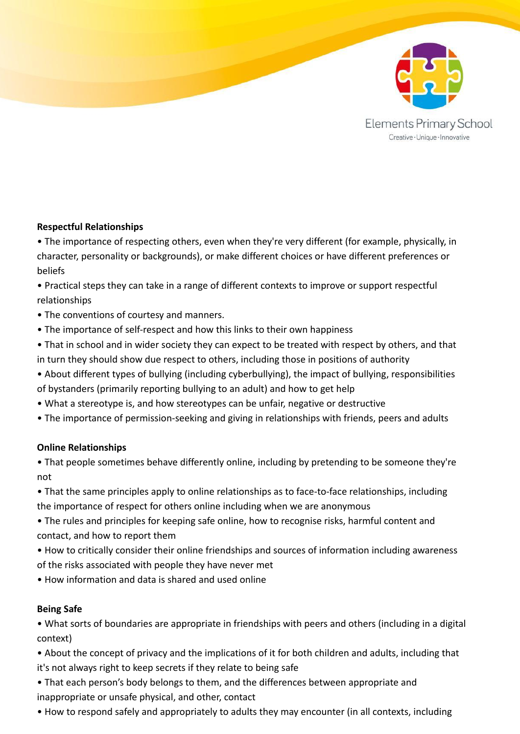

# **Respectful Relationships**

• The importance of respecting others, even when they're very different (for example, physically, in character, personality or backgrounds), or make different choices or have different preferences or beliefs

• Practical steps they can take in a range of different contexts to improve or support respectful relationships

- The conventions of courtesy and manners.
- The importance of self-respect and how this links to their own happiness
- That in school and in wider society they can expect to be treated with respect by others, and that in turn they should show due respect to others, including those in positions of authority
- About different types of bullying (including cyberbullying), the impact of bullying, responsibilities of bystanders (primarily reporting bullying to an adult) and how to get help
- What a stereotype is, and how stereotypes can be unfair, negative or destructive
- The importance of permission-seeking and giving in relationships with friends, peers and adults

# **Online Relationships**

• That people sometimes behave differently online, including by pretending to be someone they're not

• That the same principles apply to online relationships as to face-to-face relationships, including the importance of respect for others online including when we are anonymous

• The rules and principles for keeping safe online, how to recognise risks, harmful content and contact, and how to report them

• How to critically consider their online friendships and sources of information including awareness of the risks associated with people they have never met

• How information and data is shared and used online

# **Being Safe**

• What sorts of boundaries are appropriate in friendships with peers and others (including in a digital context)

• About the concept of privacy and the implications of it for both children and adults, including that it's not always right to keep secrets if they relate to being safe

- That each person's body belongs to them, and the differences between appropriate and inappropriate or unsafe physical, and other, contact
- How to respond safely and appropriately to adults they may encounter (in all contexts, including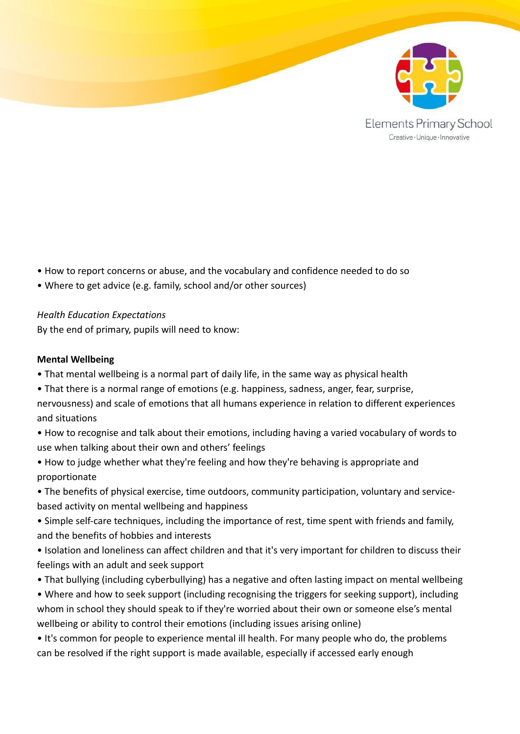

- How to report concerns or abuse, and the vocabulary and confidence needed to do so
- Where to get advice (e.g. family, school and/or other sources)

# *Health Education Expectations*

By the end of primary, pupils will need to know:

# **Mental Wellbeing**

- That mental wellbeing is a normal part of daily life, in the same way as physical health
- That there is a normal range of emotions (e.g. happiness, sadness, anger, fear, surprise, nervousness) and scale of emotions that all humans experience in relation to different experiences and situations
- How to recognise and talk about their emotions, including having a varied vocabulary of words to use when talking about their own and others' feelings
- How to judge whether what they're feeling and how they're behaving is appropriate and proportionate
- The benefits of physical exercise, time outdoors, community participation, voluntary and servicebased activity on mental wellbeing and happiness
- Simple self-care techniques, including the importance of rest, time spent with friends and family, and the benefits of hobbies and interests
- Isolation and loneliness can affect children and that it's very important for children to discuss their feelings with an adult and seek support
- That bullying (including cyberbullying) has a negative and often lasting impact on mental wellbeing
- Where and how to seek support (including recognising the triggers for seeking support), including whom in school they should speak to if they're worried about their own or someone else's mental wellbeing or ability to control their emotions (including issues arising online)
- It's common for people to experience mental ill health. For many people who do, the problems can be resolved if the right support is made available, especially if accessed early enough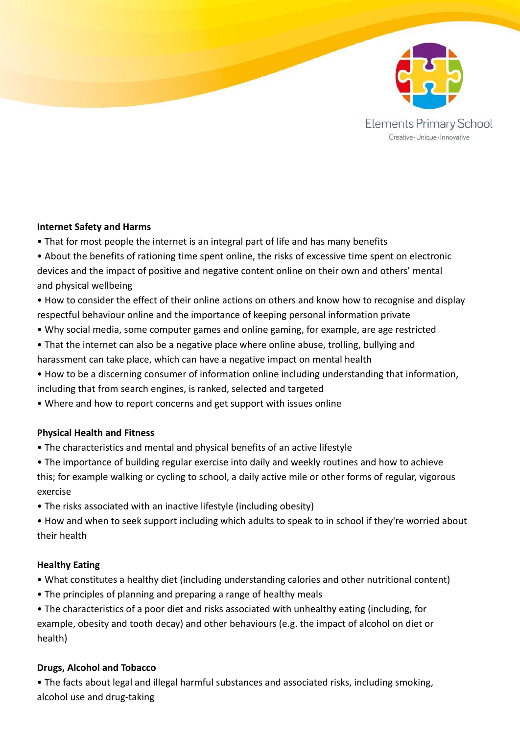

# **Internet Safety and Harms**

- That for most people the internet is an integral part of life and has many benefits
- About the benefits of rationing time spent online, the risks of excessive time spent on electronic devices and the impact of positive and negative content online on their own and others' mental and physical wellbeing
- How to consider the effect of their online actions on others and know how to recognise and display respectful behaviour online and the importance of keeping personal information private
- Why social media, some computer games and online gaming, for example, are age restricted
- That the internet can also be a negative place where online abuse, trolling, bullying and harassment can take place, which can have a negative impact on mental health
- How to be a discerning consumer of information online including understanding that information, including that from search engines, is ranked, selected and targeted
- Where and how to report concerns and get support with issues online

# **Physical Health and Fitness**

- The characteristics and mental and physical benefits of an active lifestyle
- The importance of building regular exercise into daily and weekly routines and how to achieve this; for example walking or cycling to school, a daily active mile or other forms of regular, vigorous exercise
- The risks associated with an inactive lifestyle (including obesity)
- How and when to seek support including which adults to speak to in school if they're worried about their health

# **Healthy Eating**

- What constitutes a healthy diet (including understanding calories and other nutritional content)
- The principles of planning and preparing a range of healthy meals
- The characteristics of a poor diet and risks associated with unhealthy eating (including, for example, obesity and tooth decay) and other behaviours (e.g. the impact of alcohol on diet or health)

# **Drugs, Alcohol and Tobacco**

• The facts about legal and illegal harmful substances and associated risks, including smoking, alcohol use and drug-taking